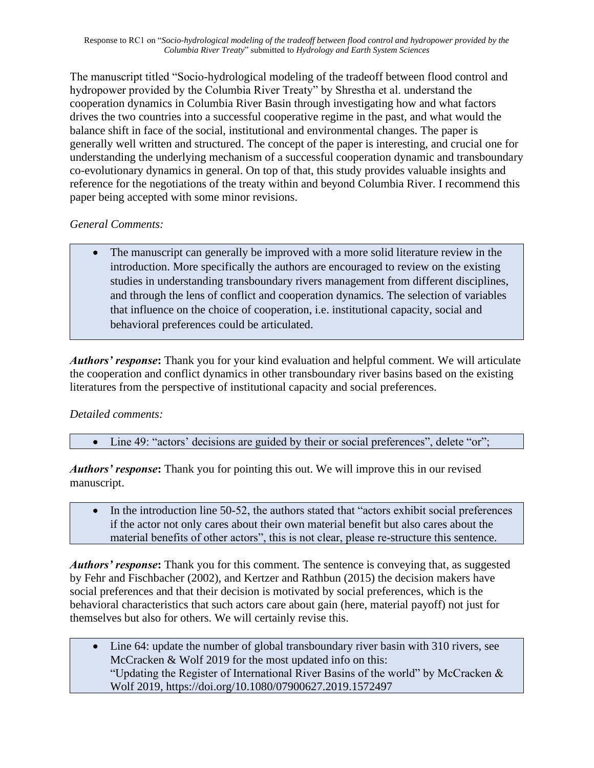Response to RC1 on "*Socio-hydrological modeling of the tradeoff between flood control and hydropower provided by the Columbia River Treaty*" submitted to *Hydrology and Earth System Sciences*

The manuscript titled "Socio-hydrological modeling of the tradeoff between flood control and hydropower provided by the Columbia River Treaty" by Shrestha et al. understand the cooperation dynamics in Columbia River Basin through investigating how and what factors drives the two countries into a successful cooperative regime in the past, and what would the balance shift in face of the social, institutional and environmental changes. The paper is generally well written and structured. The concept of the paper is interesting, and crucial one for understanding the underlying mechanism of a successful cooperation dynamic and transboundary co-evolutionary dynamics in general. On top of that, this study provides valuable insights and reference for the negotiations of the treaty within and beyond Columbia River. I recommend this paper being accepted with some minor revisions.

## *General Comments:*

• The manuscript can generally be improved with a more solid literature review in the introduction. More specifically the authors are encouraged to review on the existing studies in understanding transboundary rivers management from different disciplines, and through the lens of conflict and cooperation dynamics. The selection of variables that influence on the choice of cooperation, i.e. institutional capacity, social and behavioral preferences could be articulated.

*Authors' response***:** Thank you for your kind evaluation and helpful comment. We will articulate the cooperation and conflict dynamics in other transboundary river basins based on the existing literatures from the perspective of institutional capacity and social preferences.

## *Detailed comments:*

• Line 49: "actors' decisions are guided by their or social preferences", delete "or";

*Authors' response***:** Thank you for pointing this out. We will improve this in our revised manuscript.

• In the introduction line 50-52, the authors stated that "actors exhibit social preferences" if the actor not only cares about their own material benefit but also cares about the material benefits of other actors", this is not clear, please re-structure this sentence.

*Authors' response***:** Thank you for this comment. The sentence is conveying that, as suggested by Fehr and Fischbacher (2002), and Kertzer and Rathbun (2015) the decision makers have social preferences and that their decision is motivated by social preferences, which is the behavioral characteristics that such actors care about gain (here, material payoff) not just for themselves but also for others. We will certainly revise this.

• Line 64: update the number of global transboundary river basin with 310 rivers, see McCracken & Wolf 2019 for the most updated info on this: "Updating the Register of International River Basins of the world" by McCracken & Wolf 2019, https://doi.org/10.1080/07900627.2019.1572497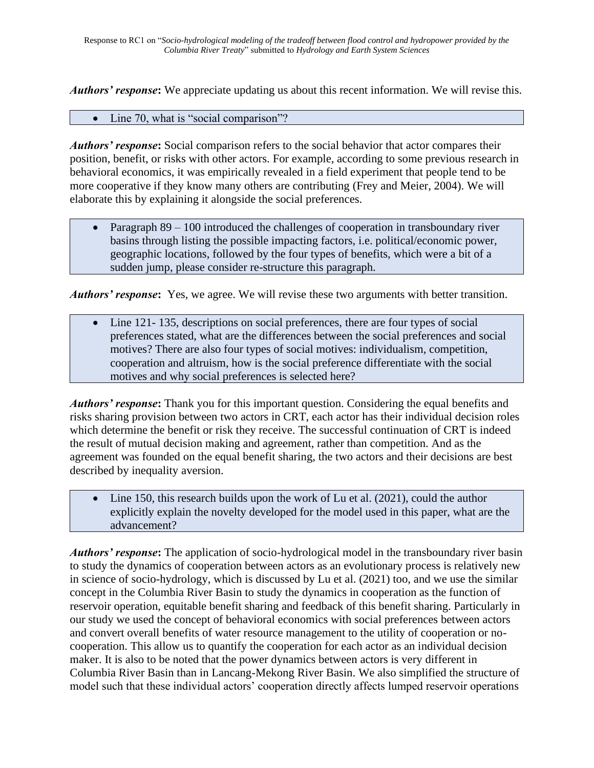*Authors' response***:** We appreciate updating us about this recent information. We will revise this.

## • Line 70, what is "social comparison"?

*Authors' response***:** Social comparison refers to the social behavior that actor compares their position, benefit, or risks with other actors. For example, according to some previous research in behavioral economics, it was empirically revealed in a field experiment that people tend to be more cooperative if they know many others are contributing (Frey and Meier, 2004). We will elaborate this by explaining it alongside the social preferences.

• Paragraph 89 – 100 introduced the challenges of cooperation in transboundary river basins through listing the possible impacting factors, i.e. political/economic power, geographic locations, followed by the four types of benefits, which were a bit of a sudden jump, please consider re-structure this paragraph.

*Authors' response***:** Yes, we agree. We will revise these two arguments with better transition.

Line 121-135, descriptions on social preferences, there are four types of social preferences stated, what are the differences between the social preferences and social motives? There are also four types of social motives: individualism, competition, cooperation and altruism, how is the social preference differentiate with the social motives and why social preferences is selected here?

*Authors' response***:** Thank you for this important question. Considering the equal benefits and risks sharing provision between two actors in CRT, each actor has their individual decision roles which determine the benefit or risk they receive. The successful continuation of CRT is indeed the result of mutual decision making and agreement, rather than competition. And as the agreement was founded on the equal benefit sharing, the two actors and their decisions are best described by inequality aversion.

• Line 150, this research builds upon the work of Lu et al. (2021), could the author explicitly explain the novelty developed for the model used in this paper, what are the advancement?

*Authors' response***:** The application of socio-hydrological model in the transboundary river basin to study the dynamics of cooperation between actors as an evolutionary process is relatively new in science of socio-hydrology, which is discussed by Lu et al. (2021) too, and we use the similar concept in the Columbia River Basin to study the dynamics in cooperation as the function of reservoir operation, equitable benefit sharing and feedback of this benefit sharing. Particularly in our study we used the concept of behavioral economics with social preferences between actors and convert overall benefits of water resource management to the utility of cooperation or nocooperation. This allow us to quantify the cooperation for each actor as an individual decision maker. It is also to be noted that the power dynamics between actors is very different in Columbia River Basin than in Lancang-Mekong River Basin. We also simplified the structure of model such that these individual actors' cooperation directly affects lumped reservoir operations